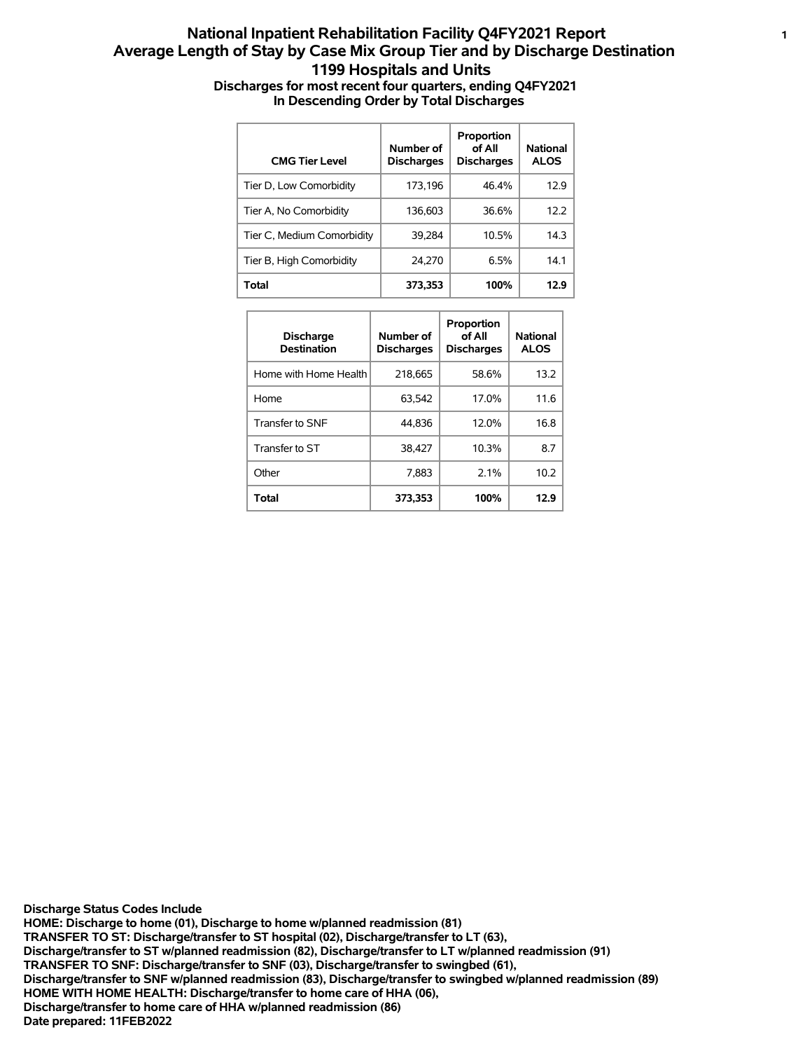## **National Inpatient Rehabilitation Facility Q4FY2021 Report <sup>1</sup> Average Length of Stay by Case Mix Group Tier and by Discharge Destination 1199 Hospitals and Units Discharges for most recent four quarters, ending Q4FY2021 In Descending Order by Total Discharges**

| <b>CMG Tier Level</b>      | Number of<br><b>Discharges</b> | Proportion<br>of All<br><b>Discharges</b> | <b>National</b><br><b>ALOS</b> |
|----------------------------|--------------------------------|-------------------------------------------|--------------------------------|
| Tier D, Low Comorbidity    | 173.196                        | 46.4%                                     | 12.9                           |
| Tier A, No Comorbidity     | 136.603                        | 36.6%                                     | 12.2                           |
| Tier C, Medium Comorbidity | 39.284                         | 10.5%                                     | 14.3                           |
| Tier B, High Comorbidity   | 24.270                         | 6.5%                                      | 14.1                           |
| Total                      | 373.353                        | 100%                                      | 12.9                           |

| <b>Discharge</b><br><b>Destination</b> | Number of<br><b>Discharges</b> | Proportion<br>of All<br><b>Discharges</b> | National<br><b>ALOS</b> |
|----------------------------------------|--------------------------------|-------------------------------------------|-------------------------|
| Home with Home Health                  | 218,665                        | 58.6%                                     | 13.2                    |
| Home                                   | 63.542                         | 17.0%                                     | 11.6                    |
| Transfer to SNF                        | 44.836                         | 12.0%                                     | 16.8                    |
| Transfer to ST                         | 38.427                         | 10.3%                                     | 8.7                     |
| Other                                  | 7.883                          | 2.1%                                      | 10.2                    |
| Total                                  | 373,353                        | 100%                                      | 12.9                    |

**Date prepared: 11FEB2022 Discharge/transfer to home care of HHA w/planned readmission (86) HOME WITH HOME HEALTH: Discharge/transfer to home care of HHA (06), Discharge/transfer to SNF w/planned readmission (83), Discharge/transfer to swingbed w/planned readmission (89) TRANSFER TO SNF: Discharge/transfer to SNF (03), Discharge/transfer to swingbed (61), Discharge/transfer to ST w/planned readmission (82), Discharge/transfer to LT w/planned readmission (91) TRANSFER TO ST: Discharge/transfer to ST hospital (02), Discharge/transfer to LT (63), HOME: Discharge to home (01), Discharge to home w/planned readmission (81) Discharge Status Codes Include**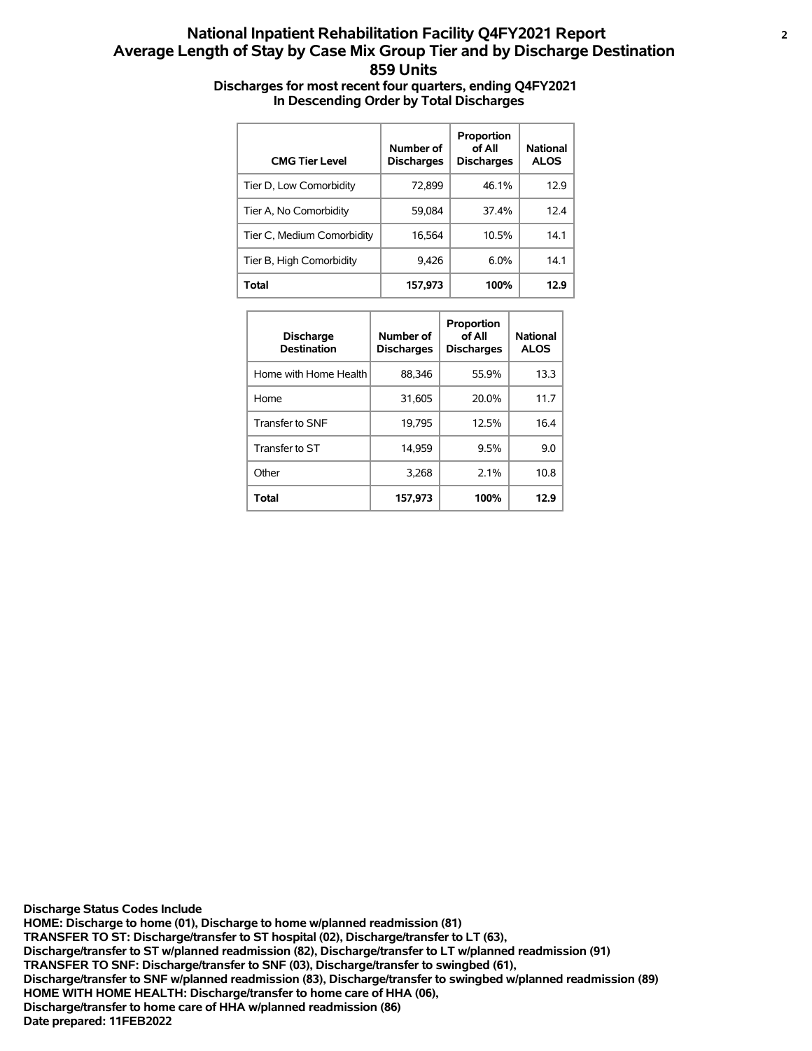## **National Inpatient Rehabilitation Facility Q4FY2021 Report <sup>2</sup> Average Length of Stay by Case Mix Group Tier and by Discharge Destination 859 Units Discharges for most recent four quarters, ending Q4FY2021 In Descending Order by Total Discharges**

| <b>CMG Tier Level</b>      | Number of<br><b>Discharges</b> | Proportion<br>of All<br><b>Discharges</b> | <b>National</b><br><b>ALOS</b> |
|----------------------------|--------------------------------|-------------------------------------------|--------------------------------|
| Tier D, Low Comorbidity    | 72.899                         | 46.1%                                     | 12.9                           |
| Tier A, No Comorbidity     | 59.084                         | 374%                                      | 12.4                           |
| Tier C, Medium Comorbidity | 16.564                         | 10.5%                                     | 14.1                           |
| Tier B, High Comorbidity   | 9.426                          | 6.0%                                      | 14.1                           |
| <b>Total</b>               | 157,973                        | 100%                                      | 12.9                           |

| <b>Discharge</b><br><b>Destination</b> | Number of<br><b>Discharges</b> | Proportion<br>of All<br><b>Discharges</b> | <b>National</b><br><b>ALOS</b> |
|----------------------------------------|--------------------------------|-------------------------------------------|--------------------------------|
| Home with Home Health                  | 88,346                         | 55.9%                                     | 13.3                           |
| Home                                   | 31,605                         | 20.0%                                     | 11.7                           |
| Transfer to SNF                        | 19.795                         | 12.5%                                     | 16.4                           |
| Transfer to ST                         | 14.959                         | 9.5%                                      | 9.0                            |
| Other                                  | 3.268                          | 2.1%                                      | 10.8                           |
| Total                                  | 157,973                        | 100%                                      | 12.9                           |

**Date prepared: 11FEB2022 Discharge/transfer to home care of HHA w/planned readmission (86) HOME WITH HOME HEALTH: Discharge/transfer to home care of HHA (06), Discharge/transfer to SNF w/planned readmission (83), Discharge/transfer to swingbed w/planned readmission (89) TRANSFER TO SNF: Discharge/transfer to SNF (03), Discharge/transfer to swingbed (61), Discharge/transfer to ST w/planned readmission (82), Discharge/transfer to LT w/planned readmission (91) TRANSFER TO ST: Discharge/transfer to ST hospital (02), Discharge/transfer to LT (63), HOME: Discharge to home (01), Discharge to home w/planned readmission (81) Discharge Status Codes Include**